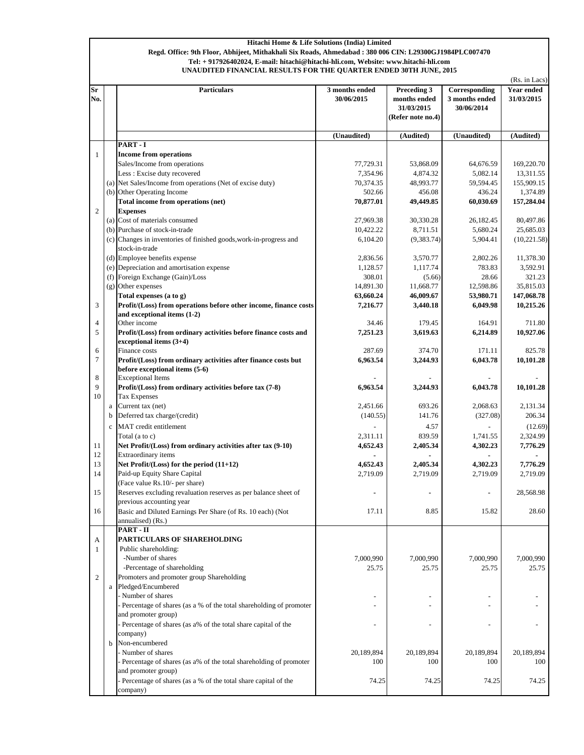## **Hitachi Home & Life Solutions (India) Limited Regd. Office: 9th Floor, Abhijeet, Mithakhali Six Roads, Ahmedabad : 380 006 CIN: L29300GJ1984PLC007470 UNAUDITED FINANCIAL RESULTS FOR THE QUARTER ENDED 30TH JUNE, 2015 Tel: + 917926402024, E-mail: hitachi@hitachi-hli.com, Website: www.hitachi-hli.com**

|                         |              |                                                                                                 |                              |                                                                |                                               | (Rs. in Lacs)                   |  |
|-------------------------|--------------|-------------------------------------------------------------------------------------------------|------------------------------|----------------------------------------------------------------|-----------------------------------------------|---------------------------------|--|
| $S_{\mathbf{r}}$<br>No. |              | <b>Particulars</b>                                                                              | 3 months ended<br>30/06/2015 | Preceding 3<br>months ended<br>31/03/2015<br>(Refer note no.4) | Corresponding<br>3 months ended<br>30/06/2014 | <b>Year ended</b><br>31/03/2015 |  |
|                         |              |                                                                                                 | (Unaudited)                  | (Audited)                                                      | (Unaudited)                                   | (Audited)                       |  |
|                         |              | PART-I                                                                                          |                              |                                                                |                                               |                                 |  |
| 1                       |              | <b>Income from operations</b>                                                                   |                              |                                                                |                                               |                                 |  |
|                         |              | Sales/Income from operations                                                                    | 77,729.31                    | 53,868.09                                                      | 64,676.59                                     | 169,220.70                      |  |
|                         |              | Less : Excise duty recovered<br>(a) Net Sales/Income from operations (Net of excise duty)       | 7,354.96<br>70,374.35        | 4,874.32<br>48,993.77                                          | 5,082.14<br>59,594.45                         | 13,311.55<br>155,909.15         |  |
|                         |              | (b) Other Operating Income                                                                      | 502.66                       | 456.08                                                         | 436.24                                        | 1.374.89                        |  |
|                         |              | Total income from operations (net)                                                              | 70,877.01                    | 49,449.85                                                      | 60,030.69                                     | 157,284.04                      |  |
| $\overline{c}$          |              | <b>Expenses</b>                                                                                 |                              |                                                                |                                               |                                 |  |
|                         |              | (a) Cost of materials consumed                                                                  | 27,969.38                    | 30,330.28                                                      | 26,182.45                                     | 80,497.86                       |  |
|                         |              | (b) Purchase of stock-in-trade                                                                  | 10,422.22                    | 8,711.51                                                       | 5,680.24                                      | 25,685.03                       |  |
|                         |              | (c) Changes in inventories of finished goods, work-in-progress and                              | 6,104.20                     | (9, 383.74)                                                    | 5,904.41                                      | (10,221.58)                     |  |
|                         |              | stock-in-trade                                                                                  |                              |                                                                |                                               |                                 |  |
|                         |              | (d) Employee benefits expense                                                                   | 2,836.56                     | 3,570.77                                                       | 2,802.26                                      | 11,378.30                       |  |
|                         |              | (e) Depreciation and amortisation expense                                                       | 1,128.57                     | 1,117.74                                                       | 783.83                                        | 3,592.91                        |  |
|                         | (f)          | Foreign Exchange (Gain)/Loss                                                                    | 308.01                       | (5.66)                                                         | 28.66                                         | 321.23                          |  |
|                         |              | (g) Other expenses                                                                              | 14,891.30                    | 11,668.77                                                      | 12,598.86                                     | 35,815.03                       |  |
| 3                       |              | Total expenses (a to g)                                                                         | 63,660.24                    | 46,009.67                                                      | 53,980.71                                     | 147,068.78                      |  |
|                         |              | Profit/(Loss) from operations before other income, finance costs<br>and exceptional items (1-2) | 7,216.77                     | 3,440.18                                                       | 6,049.98                                      | 10,215.26                       |  |
| $\overline{4}$          |              | Other income                                                                                    | 34.46                        | 179.45                                                         | 164.91                                        | 711.80                          |  |
| 5                       |              | Profit/(Loss) from ordinary activities before finance costs and                                 | 7,251.23                     | 3,619.63                                                       | 6,214.89                                      | 10,927.06                       |  |
|                         |              | exceptional items $(3+4)$                                                                       |                              |                                                                |                                               |                                 |  |
| 6                       |              | Finance costs                                                                                   | 287.69                       | 374.70                                                         | 171.11                                        | 825.78                          |  |
| $\tau$                  |              | Profit/(Loss) from ordinary activities after finance costs but                                  | 6,963.54                     | 3,244.93                                                       | 6,043.78                                      | 10,101.28                       |  |
|                         |              | before exceptional items (5-6)                                                                  |                              |                                                                |                                               |                                 |  |
| 8<br>9                  |              | <b>Exceptional Items</b><br>Profit/(Loss) from ordinary activities before tax (7-8)             | 6,963.54                     | 3,244.93                                                       | 6,043.78                                      | 10,101.28                       |  |
| 10                      |              | <b>Tax Expenses</b>                                                                             |                              |                                                                |                                               |                                 |  |
|                         | $\rm{a}$     | Current tax (net)                                                                               | 2,451.66                     | 693.26                                                         | 2,068.63                                      | 2,131.34                        |  |
|                         | b            | Deferred tax charge/(credit)                                                                    | (140.55)                     | 141.76                                                         | (327.08)                                      | 206.34                          |  |
|                         | $\mathbf{c}$ | MAT credit entitlement                                                                          |                              | 4.57                                                           |                                               | (12.69)                         |  |
|                         |              | Total (a to c)                                                                                  | 2,311.11                     | 839.59                                                         | 1,741.55                                      | 2,324.99                        |  |
| 11                      |              | Net Profit/(Loss) from ordinary activities after tax (9-10)                                     | 4,652.43                     | 2,405.34                                                       | 4,302.23                                      | 7,776.29                        |  |
| 12                      |              | Extraordinary items                                                                             |                              |                                                                |                                               |                                 |  |
| 13                      |              | Net Profit/(Loss) for the period (11+12)                                                        | 4,652.43                     | 2,405.34                                                       | 4,302.23                                      | 7,776.29                        |  |
| 14                      |              | Paid-up Equity Share Capital                                                                    | 2,719.09                     | 2,719.09                                                       | 2,719.09                                      | 2,719.09                        |  |
|                         |              | (Face value Rs.10/- per share)                                                                  |                              |                                                                |                                               |                                 |  |
| 15                      |              | Reserves excluding revaluation reserves as per balance sheet of                                 |                              |                                                                |                                               | 28,568.98                       |  |
|                         |              | previous accounting year                                                                        |                              |                                                                |                                               |                                 |  |
| 16                      |              | Basic and Diluted Earnings Per Share (of Rs. 10 each) (Not<br>annualised) (Rs.)                 | 17.11                        | 8.85                                                           | 15.82                                         | 28.60                           |  |
|                         |              | PART - II                                                                                       |                              |                                                                |                                               |                                 |  |
| А                       |              | PARTICULARS OF SHAREHOLDING                                                                     |                              |                                                                |                                               |                                 |  |
| 1                       |              | Public shareholding:                                                                            |                              |                                                                |                                               |                                 |  |
|                         |              | -Number of shares                                                                               | 7,000,990                    | 7,000,990                                                      | 7,000,990                                     | 7,000,990                       |  |
|                         |              | -Percentage of shareholding                                                                     | 25.75                        | 25.75                                                          | 25.75                                         | 25.75                           |  |
| $\mathfrak{2}$          |              | Promoters and promoter group Shareholding                                                       |                              |                                                                |                                               |                                 |  |
|                         |              | a Pledged/Encumbered                                                                            |                              |                                                                |                                               |                                 |  |
|                         |              | Number of shares                                                                                |                              |                                                                |                                               |                                 |  |
|                         |              | - Percentage of shares (as a % of the total shareholding of promoter                            |                              |                                                                |                                               |                                 |  |
|                         |              | and promoter group)                                                                             |                              |                                                                |                                               |                                 |  |
|                         |              | - Percentage of shares (as a% of the total share capital of the                                 |                              |                                                                |                                               |                                 |  |
|                         | b            | company)<br>Non-encumbered                                                                      |                              |                                                                |                                               |                                 |  |
|                         |              | Number of shares                                                                                | 20,189,894                   | 20,189,894                                                     | 20,189,894                                    | 20,189,894                      |  |
|                         |              | Percentage of shares (as a% of the total shareholding of promoter                               | 100                          | 100                                                            | 100                                           | 100                             |  |
|                         |              | and promoter group)                                                                             |                              |                                                                |                                               |                                 |  |
|                         |              | - Percentage of shares (as a % of the total share capital of the                                | 74.25                        | 74.25                                                          | 74.25                                         | 74.25                           |  |
|                         |              | company)                                                                                        |                              |                                                                |                                               |                                 |  |